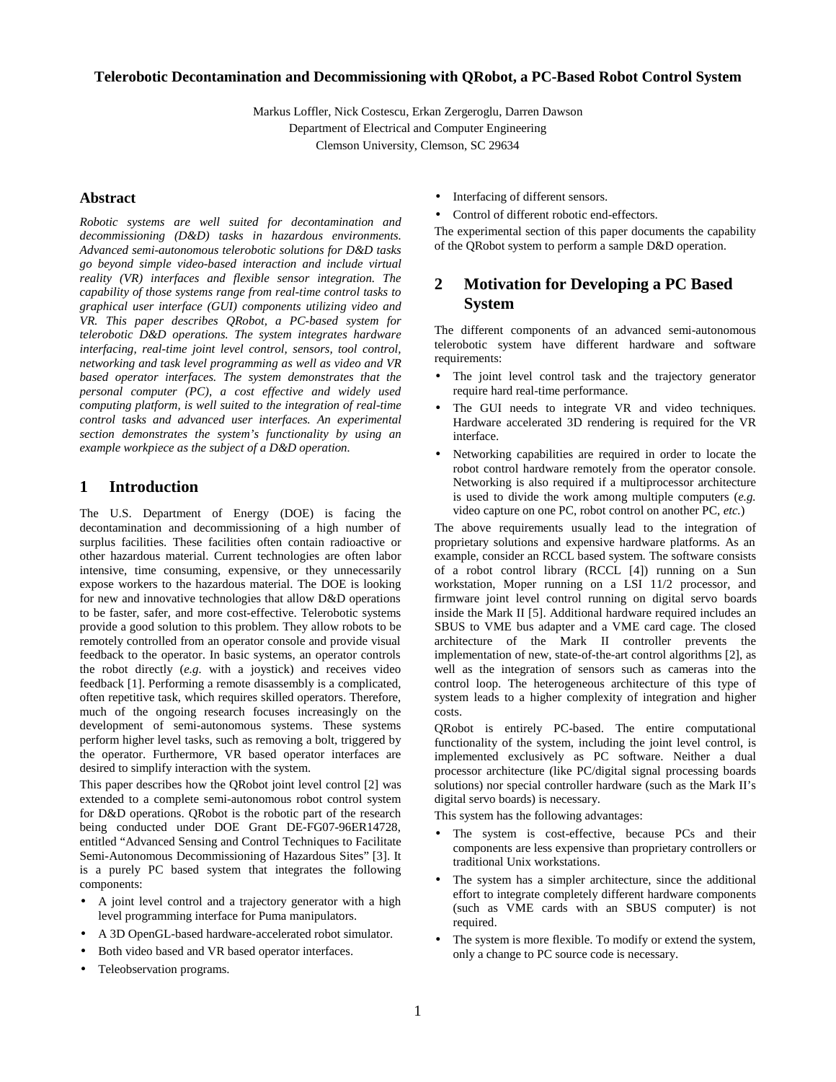### **Telerobotic Decontamination and Decommissioning with QRobot, a PC-Based Robot Control System**

Markus Loffler, Nick Costescu, Erkan Zergeroglu, Darren Dawson Department of Electrical and Computer Engineering Clemson University, Clemson, SC 29634

**Abstract** 

*Robotic systems are well suited for decontamination and decommissioning (D&D) tasks in hazardous environments. Advanced semi-autonomous telerobotic solutions for D&D tasks go beyond simple video-based interaction and include virtual reality (VR) interfaces and flexible sensor integration. The capability of those systems range from real-time control tasks to graphical user interface (GUI) components utilizing video and VR. This paper describes QRobot, a PC-based system for telerobotic D&D operations. The system integrates hardware interfacing, real-time joint level control, sensors, tool control, networking and task level programming as well as video and VR based operator interfaces. The system demonstrates that the personal computer (PC), a cost effective and widely used computing platform, is well suited to the integration of real-time control tasks and advanced user interfaces. An experimental section demonstrates the system's functionality by using an example workpiece as the subject of a D&D operation.* 

### **1 Introduction**

The U.S. Department of Energy (DOE) is facing the decontamination and decommissioning of a high number of surplus facilities. These facilities often contain radioactive or other hazardous material. Current technologies are often labor intensive, time consuming, expensive, or they unnecessarily expose workers to the hazardous material. The DOE is looking for new and innovative technologies that allow D&D operations to be faster, safer, and more cost-effective. Telerobotic systems provide a good solution to this problem. They allow robots to be remotely controlled from an operator console and provide visual feedback to the operator. In basic systems, an operator controls the robot directly (*e.g.* with a joystick) and receives video feedback [1]. Performing a remote disassembly is a complicated, often repetitive task, which requires skilled operators. Therefore, much of the ongoing research focuses increasingly on the development of semi-autonomous systems. These systems perform higher level tasks, such as removing a bolt, triggered by the operator. Furthermore, VR based operator interfaces are desired to simplify interaction with the system.

This paper describes how the QRobot joint level control [2] was extended to a complete semi-autonomous robot control system for D&D operations. QRobot is the robotic part of the research being conducted under DOE Grant DE-FG07-96ER14728, entitled "Advanced Sensing and Control Techniques to Facilitate Semi-Autonomous Decommissioning of Hazardous Sites" [3]. It is a purely PC based system that integrates the following components:

- A joint level control and a trajectory generator with a high level programming interface for Puma manipulators.
- A 3D OpenGL-based hardware-accelerated robot simulator.
- Both video based and VR based operator interfaces.
- Teleobservation programs.
- Interfacing of different sensors.
- Control of different robotic end-effectors.

The experimental section of this paper documents the capability of the QRobot system to perform a sample D&D operation.

# **2 Motivation for Developing a PC Based System**

The different components of an advanced semi-autonomous telerobotic system have different hardware and software requirements:

- The joint level control task and the trajectory generator require hard real-time performance.
- The GUI needs to integrate VR and video techniques. Hardware accelerated 3D rendering is required for the VR interface.
- Networking capabilities are required in order to locate the robot control hardware remotely from the operator console. Networking is also required if a multiprocessor architecture is used to divide the work among multiple computers (*e.g.*  video capture on one PC, robot control on another PC, *etc.*)

The above requirements usually lead to the integration of proprietary solutions and expensive hardware platforms. As an example, consider an RCCL based system. The software consists of a robot control library (RCCL [4]) running on a Sun workstation, Moper running on a LSI 11/2 processor, and firmware joint level control running on digital servo boards inside the Mark II [5]. Additional hardware required includes an SBUS to VME bus adapter and a VME card cage. The closed architecture of the Mark II controller prevents the implementation of new, state-of-the-art control algorithms [2], as well as the integration of sensors such as cameras into the control loop. The heterogeneous architecture of this type of system leads to a higher complexity of integration and higher costs.

QRobot is entirely PC-based. The entire computational functionality of the system, including the joint level control, is implemented exclusively as PC software. Neither a dual processor architecture (like PC/digital signal processing boards solutions) nor special controller hardware (such as the Mark II's digital servo boards) is necessary.

This system has the following advantages:

- The system is cost-effective, because PCs and their components are less expensive than proprietary controllers or traditional Unix workstations.
- The system has a simpler architecture, since the additional effort to integrate completely different hardware components (such as VME cards with an SBUS computer) is not required.
- The system is more flexible. To modify or extend the system, only a change to PC source code is necessary.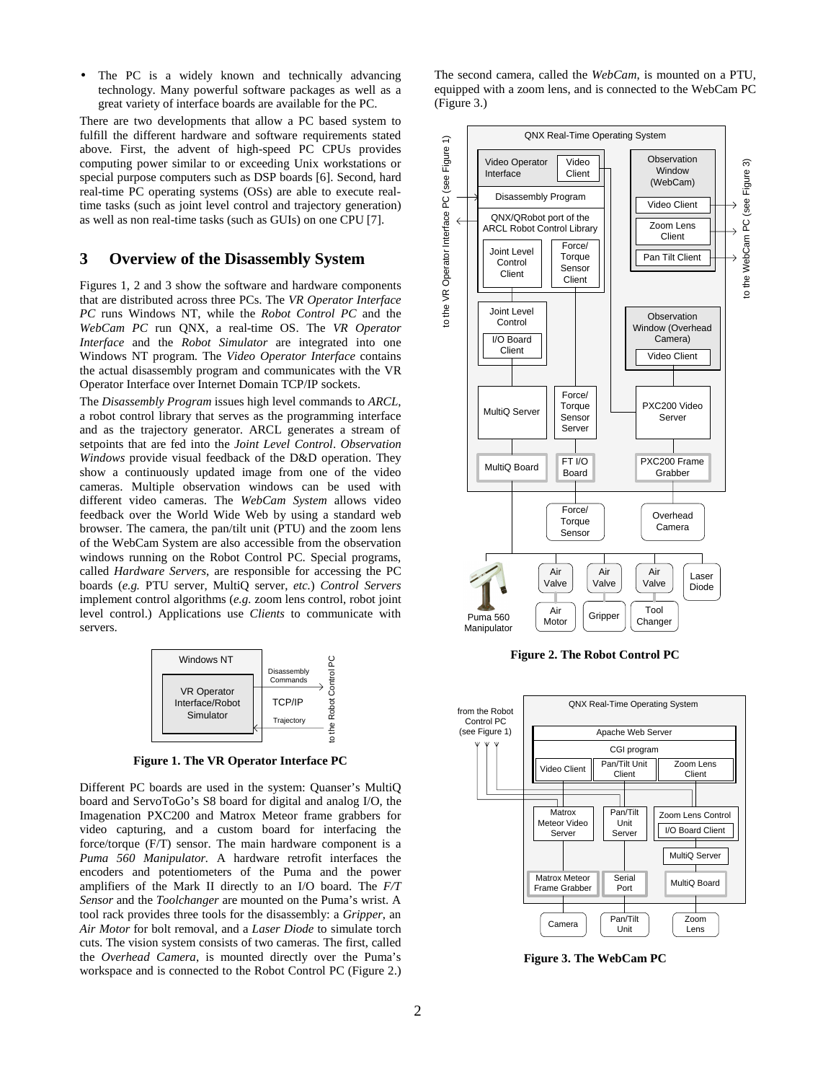The PC is a widely known and technically advancing technology. Many powerful software packages as well as a great variety of interface boards are available for the PC.

There are two developments that allow a PC based system to fulfill the different hardware and software requirements stated above. First, the advent of high-speed PC CPUs provides computing power similar to or exceeding Unix workstations or special purpose computers such as DSP boards [6]. Second, hard real-time PC operating systems (OSs) are able to execute realtime tasks (such as joint level control and trajectory generation) as well as non real-time tasks (such as GUIs) on one CPU [7].

### **3 Overview of the Disassembly System**

Figures 1, 2 and 3 show the software and hardware components that are distributed across three PCs. The *VR Operator Interface PC* runs Windows NT, while the *Robot Control PC* and the *WebCam PC* run QNX, a real-time OS. The *VR Operator Interface* and the *Robot Simulator* are integrated into one Windows NT program. The *Video Operator Interface* contains the actual disassembly program and communicates with the VR Operator Interface over Internet Domain TCP/IP sockets.

The *Disassembly Program* issues high level commands to *ARCL*, a robot control library that serves as the programming interface and as the trajectory generator. ARCL generates a stream of setpoints that are fed into the *Joint Level Control*. *Observation Windows* provide visual feedback of the D&D operation. They show a continuously updated image from one of the video cameras. Multiple observation windows can be used with different video cameras. The *WebCam System* allows video feedback over the World Wide Web by using a standard web browser. The camera, the pan/tilt unit (PTU) and the zoom lens of the WebCam System are also accessible from the observation windows running on the Robot Control PC. Special programs, called *Hardware Servers*, are responsible for accessing the PC boards (*e.g.* PTU server, MultiQ server, *etc.*) *Control Servers* implement control algorithms (*e.g.* zoom lens control, robot joint level control.) Applications use *Clients* to communicate with servers.



**Figure 1. The VR Operator Interface PC** 

Different PC boards are used in the system: Quanser's MultiQ board and ServoToGo's S8 board for digital and analog I/O, the Imagenation PXC200 and Matrox Meteor frame grabbers for video capturing, and a custom board for interfacing the force/torque (F/T) sensor. The main hardware component is a *Puma 560 Manipulator.* A hardware retrofit interfaces the encoders and potentiometers of the Puma and the power amplifiers of the Mark II directly to an I/O board. The *F/T Sensor* and the *Toolchanger* are mounted on the Puma's wrist. A tool rack provides three tools for the disassembly: a *Gripper*, an *Air Motor* for bolt removal, and a *Laser Diode* to simulate torch cuts. The vision system consists of two cameras. The first, called the *Overhead Camera*, is mounted directly over the Puma's workspace and is connected to the Robot Control PC (Figure 2.)

The second camera, called the *WebCam*, is mounted on a PTU, equipped with a zoom lens, and is connected to the WebCam PC (Figure 3.)



**Figure 2. The Robot Control PC** 



**Figure 3. The WebCam PC**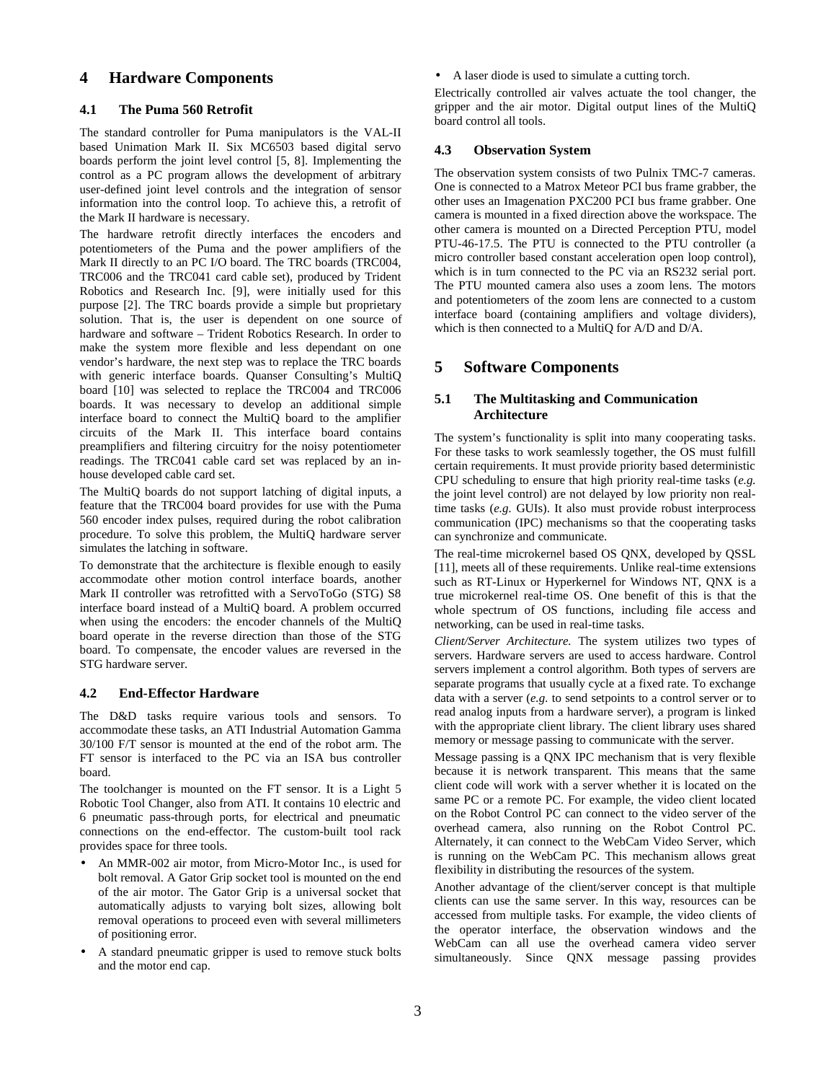## **4 Hardware Components**

#### **4.1 The Puma 560 Retrofit**

The standard controller for Puma manipulators is the VAL-II based Unimation Mark II. Six MC6503 based digital servo boards perform the joint level control [5, 8]. Implementing the control as a PC program allows the development of arbitrary user-defined joint level controls and the integration of sensor information into the control loop. To achieve this, a retrofit of the Mark II hardware is necessary.

The hardware retrofit directly interfaces the encoders and potentiometers of the Puma and the power amplifiers of the Mark II directly to an PC I/O board. The TRC boards (TRC004, TRC006 and the TRC041 card cable set), produced by Trident Robotics and Research Inc. [9], were initially used for this purpose [2]. The TRC boards provide a simple but proprietary solution. That is, the user is dependent on one source of hardware and software – Trident Robotics Research. In order to make the system more flexible and less dependant on one vendor's hardware, the next step was to replace the TRC boards with generic interface boards. Quanser Consulting's MultiQ board [10] was selected to replace the TRC004 and TRC006 boards. It was necessary to develop an additional simple interface board to connect the MultiQ board to the amplifier circuits of the Mark II. This interface board contains preamplifiers and filtering circuitry for the noisy potentiometer readings. The TRC041 cable card set was replaced by an inhouse developed cable card set.

The MultiQ boards do not support latching of digital inputs, a feature that the TRC004 board provides for use with the Puma 560 encoder index pulses, required during the robot calibration procedure. To solve this problem, the MultiQ hardware server simulates the latching in software.

To demonstrate that the architecture is flexible enough to easily accommodate other motion control interface boards, another Mark II controller was retrofitted with a ServoToGo (STG) S8 interface board instead of a MultiQ board. A problem occurred when using the encoders: the encoder channels of the MultiQ board operate in the reverse direction than those of the STG board. To compensate, the encoder values are reversed in the STG hardware server.

#### **4.2 End-Effector Hardware**

The D&D tasks require various tools and sensors. To accommodate these tasks, an ATI Industrial Automation Gamma 30/100 F/T sensor is mounted at the end of the robot arm. The FT sensor is interfaced to the PC via an ISA bus controller board.

The toolchanger is mounted on the FT sensor. It is a Light 5 Robotic Tool Changer, also from ATI. It contains 10 electric and 6 pneumatic pass-through ports, for electrical and pneumatic connections on the end-effector. The custom-built tool rack provides space for three tools.

- An MMR-002 air motor, from Micro-Motor Inc., is used for bolt removal. A Gator Grip socket tool is mounted on the end of the air motor. The Gator Grip is a universal socket that automatically adjusts to varying bolt sizes, allowing bolt removal operations to proceed even with several millimeters of positioning error.
- A standard pneumatic gripper is used to remove stuck bolts and the motor end cap.

• A laser diode is used to simulate a cutting torch.

Electrically controlled air valves actuate the tool changer, the gripper and the air motor. Digital output lines of the MultiQ board control all tools.

#### **4.3 Observation System**

The observation system consists of two Pulnix TMC-7 cameras. One is connected to a Matrox Meteor PCI bus frame grabber, the other uses an Imagenation PXC200 PCI bus frame grabber. One camera is mounted in a fixed direction above the workspace. The other camera is mounted on a Directed Perception PTU, model PTU-46-17.5. The PTU is connected to the PTU controller (a micro controller based constant acceleration open loop control), which is in turn connected to the PC via an RS232 serial port. The PTU mounted camera also uses a zoom lens. The motors and potentiometers of the zoom lens are connected to a custom interface board (containing amplifiers and voltage dividers), which is then connected to a MultiQ for A/D and D/A.

### **5 Software Components**

### **5.1 The Multitasking and Communication Architecture**

The system's functionality is split into many cooperating tasks. For these tasks to work seamlessly together, the OS must fulfill certain requirements. It must provide priority based deterministic CPU scheduling to ensure that high priority real-time tasks (*e.g.* the joint level control) are not delayed by low priority non realtime tasks (*e.g.* GUIs). It also must provide robust interprocess communication (IPC) mechanisms so that the cooperating tasks can synchronize and communicate.

The real-time microkernel based OS QNX, developed by QSSL [11], meets all of these requirements. Unlike real-time extensions such as RT-Linux or Hyperkernel for Windows NT, QNX is a true microkernel real-time OS. One benefit of this is that the whole spectrum of OS functions, including file access and networking, can be used in real-time tasks.

*Client/Server Architecture.* The system utilizes two types of servers. Hardware servers are used to access hardware. Control servers implement a control algorithm. Both types of servers are separate programs that usually cycle at a fixed rate. To exchange data with a server (*e.g.* to send setpoints to a control server or to read analog inputs from a hardware server), a program is linked with the appropriate client library. The client library uses shared memory or message passing to communicate with the server.

Message passing is a QNX IPC mechanism that is very flexible because it is network transparent. This means that the same client code will work with a server whether it is located on the same PC or a remote PC. For example, the video client located on the Robot Control PC can connect to the video server of the overhead camera, also running on the Robot Control PC. Alternately, it can connect to the WebCam Video Server, which is running on the WebCam PC. This mechanism allows great flexibility in distributing the resources of the system.

Another advantage of the client/server concept is that multiple clients can use the same server. In this way, resources can be accessed from multiple tasks. For example, the video clients of the operator interface, the observation windows and the WebCam can all use the overhead camera video server simultaneously. Since QNX message passing provides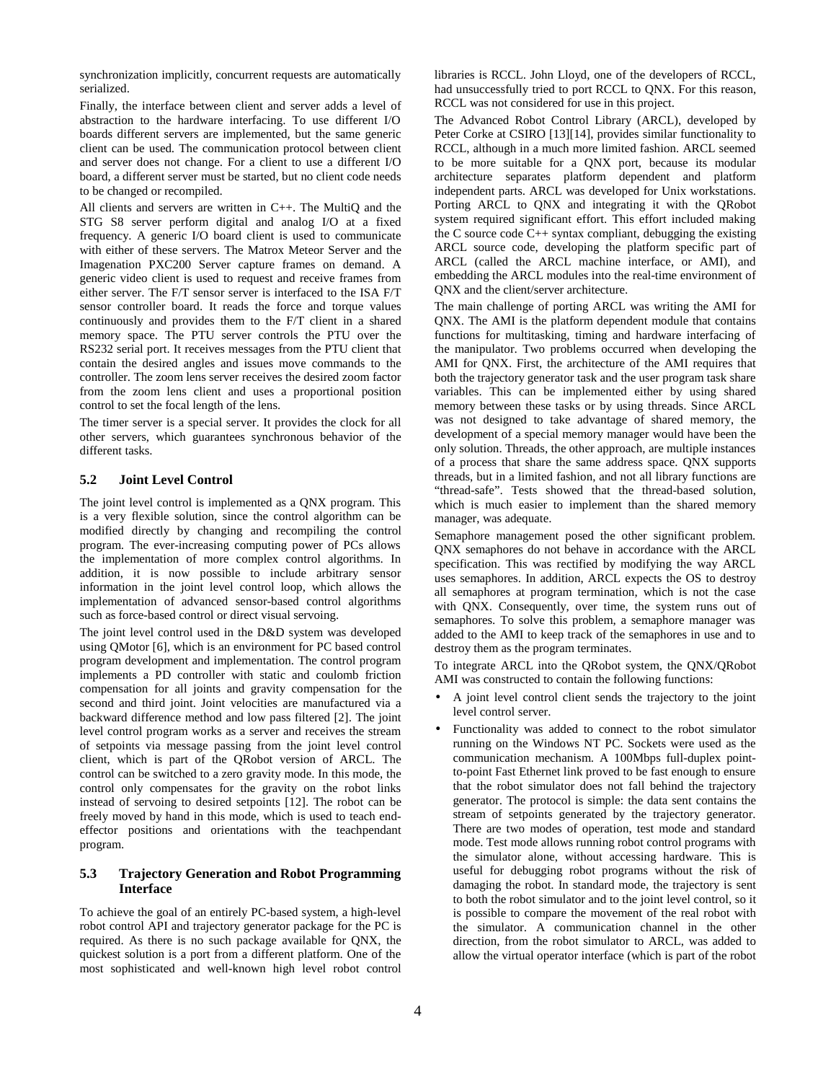synchronization implicitly, concurrent requests are automatically serialized.

Finally, the interface between client and server adds a level of abstraction to the hardware interfacing. To use different I/O boards different servers are implemented, but the same generic client can be used. The communication protocol between client and server does not change. For a client to use a different I/O board, a different server must be started, but no client code needs to be changed or recompiled.

All clients and servers are written in C++. The MultiQ and the STG S8 server perform digital and analog I/O at a fixed frequency. A generic I/O board client is used to communicate with either of these servers. The Matrox Meteor Server and the Imagenation PXC200 Server capture frames on demand. A generic video client is used to request and receive frames from either server. The F/T sensor server is interfaced to the ISA F/T sensor controller board. It reads the force and torque values continuously and provides them to the F/T client in a shared memory space. The PTU server controls the PTU over the RS232 serial port. It receives messages from the PTU client that contain the desired angles and issues move commands to the controller. The zoom lens server receives the desired zoom factor from the zoom lens client and uses a proportional position control to set the focal length of the lens.

The timer server is a special server. It provides the clock for all other servers, which guarantees synchronous behavior of the different tasks.

### **5.2 Joint Level Control**

The joint level control is implemented as a QNX program. This is a very flexible solution, since the control algorithm can be modified directly by changing and recompiling the control program. The ever-increasing computing power of PCs allows the implementation of more complex control algorithms. In addition, it is now possible to include arbitrary sensor information in the joint level control loop, which allows the implementation of advanced sensor-based control algorithms such as force-based control or direct visual servoing.

The joint level control used in the D&D system was developed using QMotor [6], which is an environment for PC based control program development and implementation. The control program implements a PD controller with static and coulomb friction compensation for all joints and gravity compensation for the second and third joint. Joint velocities are manufactured via a backward difference method and low pass filtered [2]. The joint level control program works as a server and receives the stream of setpoints via message passing from the joint level control client, which is part of the QRobot version of ARCL. The control can be switched to a zero gravity mode. In this mode, the control only compensates for the gravity on the robot links instead of servoing to desired setpoints [12]. The robot can be freely moved by hand in this mode, which is used to teach endeffector positions and orientations with the teachpendant program.

### **5.3 Trajectory Generation and Robot Programming Interface**

To achieve the goal of an entirely PC-based system, a high-level robot control API and trajectory generator package for the PC is required. As there is no such package available for QNX, the quickest solution is a port from a different platform. One of the most sophisticated and well-known high level robot control libraries is RCCL. John Lloyd, one of the developers of RCCL, had unsuccessfully tried to port RCCL to QNX. For this reason, RCCL was not considered for use in this project.

The Advanced Robot Control Library (ARCL), developed by Peter Corke at CSIRO [13][14], provides similar functionality to RCCL, although in a much more limited fashion. ARCL seemed to be more suitable for a QNX port, because its modular architecture separates platform dependent and platform independent parts. ARCL was developed for Unix workstations. Porting ARCL to QNX and integrating it with the QRobot system required significant effort. This effort included making the C source code  $C_{++}$  syntax compliant, debugging the existing ARCL source code, developing the platform specific part of ARCL (called the ARCL machine interface, or AMI), and embedding the ARCL modules into the real-time environment of QNX and the client/server architecture.

The main challenge of porting ARCL was writing the AMI for QNX. The AMI is the platform dependent module that contains functions for multitasking, timing and hardware interfacing of the manipulator. Two problems occurred when developing the AMI for QNX. First, the architecture of the AMI requires that both the trajectory generator task and the user program task share variables. This can be implemented either by using shared memory between these tasks or by using threads. Since ARCL was not designed to take advantage of shared memory, the development of a special memory manager would have been the only solution. Threads, the other approach, are multiple instances of a process that share the same address space. QNX supports threads, but in a limited fashion, and not all library functions are "thread-safe". Tests showed that the thread-based solution, which is much easier to implement than the shared memory manager, was adequate.

Semaphore management posed the other significant problem. QNX semaphores do not behave in accordance with the ARCL specification. This was rectified by modifying the way ARCL uses semaphores. In addition, ARCL expects the OS to destroy all semaphores at program termination, which is not the case with QNX. Consequently, over time, the system runs out of semaphores. To solve this problem, a semaphore manager was added to the AMI to keep track of the semaphores in use and to destroy them as the program terminates.

To integrate ARCL into the QRobot system, the QNX/QRobot AMI was constructed to contain the following functions:

- A joint level control client sends the trajectory to the joint level control server.
- Functionality was added to connect to the robot simulator running on the Windows NT PC. Sockets were used as the communication mechanism. A 100Mbps full-duplex pointto-point Fast Ethernet link proved to be fast enough to ensure that the robot simulator does not fall behind the trajectory generator. The protocol is simple: the data sent contains the stream of setpoints generated by the trajectory generator. There are two modes of operation, test mode and standard mode. Test mode allows running robot control programs with the simulator alone, without accessing hardware. This is useful for debugging robot programs without the risk of damaging the robot. In standard mode, the trajectory is sent to both the robot simulator and to the joint level control, so it is possible to compare the movement of the real robot with the simulator. A communication channel in the other direction, from the robot simulator to ARCL, was added to allow the virtual operator interface (which is part of the robot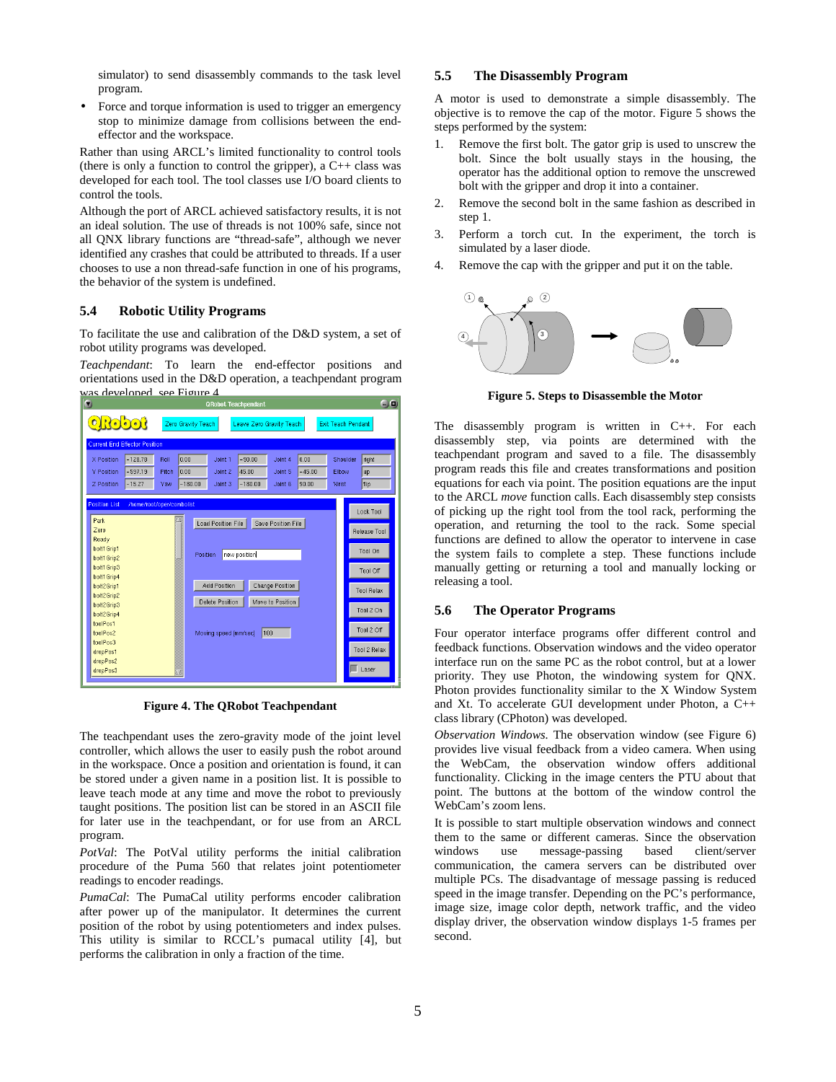simulator) to send disassembly commands to the task level program.

• Force and torque information is used to trigger an emergency stop to minimize damage from collisions between the endeffector and the workspace.

Rather than using ARCL's limited functionality to control tools (there is only a function to control the gripper), a  $C++$  class was developed for each tool. The tool classes use I/O board clients to control the tools.

Although the port of ARCL achieved satisfactory results, it is not an ideal solution. The use of threads is not 100% safe, since not all QNX library functions are "thread-safe", although we never identified any crashes that could be attributed to threads. If a user chooses to use a non thread-safe function in one of his programs, the behavior of the system is undefined.

### **5.4 Robotic Utility Programs**

To facilitate the use and calibration of the D&D system, a set of robot utility programs was developed.

*Teachpendant*: To learn the end-effector positions and orientations used in the D&D operation, a teachpendant program was developed, see Figure 4



**Figure 4. The QRobot Teachpendant** 

The teachpendant uses the zero-gravity mode of the joint level controller, which allows the user to easily push the robot around in the workspace. Once a position and orientation is found, it can be stored under a given name in a position list. It is possible to leave teach mode at any time and move the robot to previously taught positions. The position list can be stored in an ASCII file for later use in the teachpendant, or for use from an ARCL program.

*PotVal*: The PotVal utility performs the initial calibration procedure of the Puma 560 that relates joint potentiometer readings to encoder readings.

*PumaCal*: The PumaCal utility performs encoder calibration after power up of the manipulator. It determines the current position of the robot by using potentiometers and index pulses. This utility is similar to RCCL's pumacal utility [4], but performs the calibration in only a fraction of the time.

#### **5.5 The Disassembly Program**

A motor is used to demonstrate a simple disassembly. The objective is to remove the cap of the motor. Figure 5 shows the steps performed by the system:

- Remove the first bolt. The gator grip is used to unscrew the bolt. Since the bolt usually stays in the housing, the operator has the additional option to remove the unscrewed bolt with the gripper and drop it into a container.
- 2. Remove the second bolt in the same fashion as described in step 1.
- 3. Perform a torch cut. In the experiment, the torch is simulated by a laser diode.
- 4. Remove the cap with the gripper and put it on the table.



**Figure 5. Steps to Disassemble the Motor** 

The disassembly program is written in C++. For each disassembly step, via points are determined with the teachpendant program and saved to a file. The disassembly program reads this file and creates transformations and position equations for each via point. The position equations are the input to the ARCL *move* function calls. Each disassembly step consists of picking up the right tool from the tool rack, performing the operation, and returning the tool to the rack. Some special functions are defined to allow the operator to intervene in case the system fails to complete a step. These functions include manually getting or returning a tool and manually locking or releasing a tool.

#### **5.6 The Operator Programs**

Four operator interface programs offer different control and feedback functions. Observation windows and the video operator interface run on the same PC as the robot control, but at a lower priority. They use Photon, the windowing system for QNX. Photon provides functionality similar to the X Window System and Xt. To accelerate GUI development under Photon, a C++ class library (CPhoton) was developed.

*Observation Windows.* The observation window (see Figure 6) provides live visual feedback from a video camera. When using the WebCam, the observation window offers additional functionality. Clicking in the image centers the PTU about that point. The buttons at the bottom of the window control the WebCam's zoom lens.

It is possible to start multiple observation windows and connect them to the same or different cameras. Since the observation windows use message-passing based client/server communication, the camera servers can be distributed over multiple PCs. The disadvantage of message passing is reduced speed in the image transfer. Depending on the PC's performance, image size, image color depth, network traffic, and the video display driver, the observation window displays 1-5 frames per second.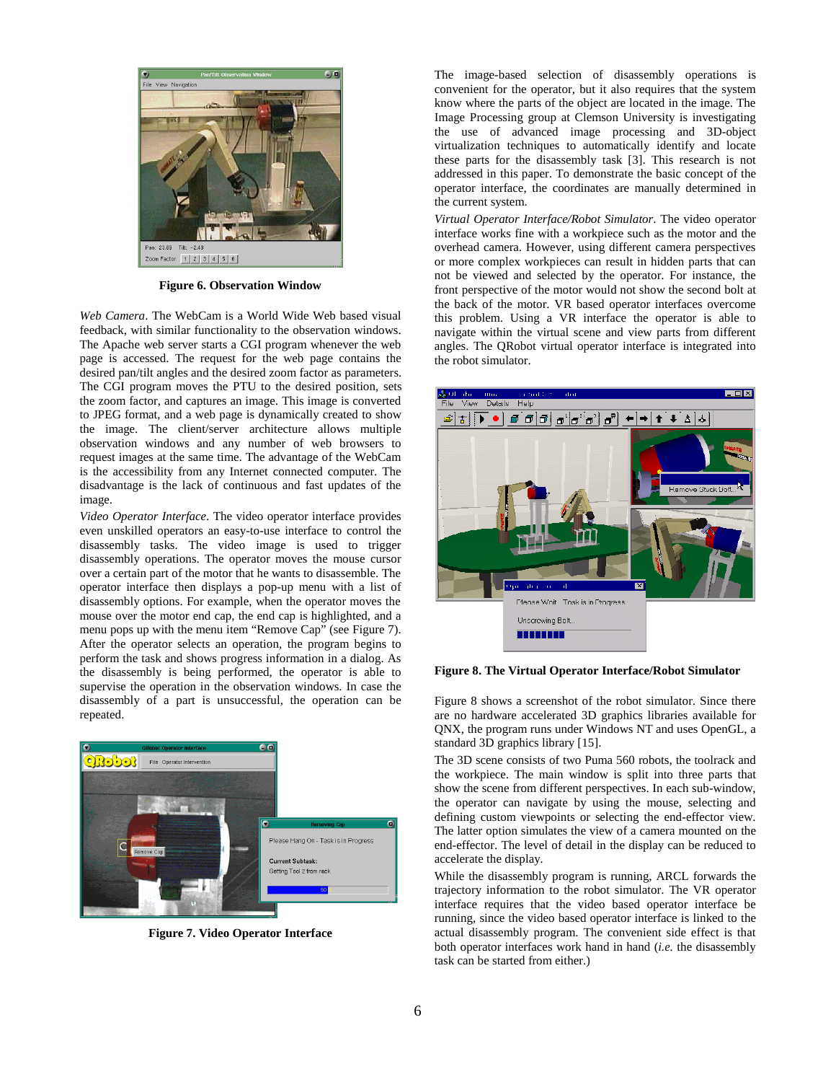

**Figure 6. Observation Window** 

*Web Camera*. The WebCam is a World Wide Web based visual feedback, with similar functionality to the observation windows. The Apache web server starts a CGI program whenever the web page is accessed. The request for the web page contains the desired pan/tilt angles and the desired zoom factor as parameters. The CGI program moves the PTU to the desired position, sets the zoom factor, and captures an image. This image is converted to JPEG format, and a web page is dynamically created to show the image. The client/server architecture allows multiple observation windows and any number of web browsers to request images at the same time. The advantage of the WebCam is the accessibility from any Internet connected computer. The disadvantage is the lack of continuous and fast updates of the image.

*Video Operator Interface*. The video operator interface provides even unskilled operators an easy-to-use interface to control the disassembly tasks. The video image is used to trigger disassembly operations. The operator moves the mouse cursor over a certain part of the motor that he wants to disassemble. The operator interface then displays a pop-up menu with a list of disassembly options. For example, when the operator moves the mouse over the motor end cap, the end cap is highlighted, and a menu pops up with the menu item "Remove Cap" (see Figure 7). After the operator selects an operation, the program begins to perform the task and shows progress information in a dialog. As the disassembly is being performed, the operator is able to supervise the operation in the observation windows. In case the disassembly of a part is unsuccessful, the operation can be repeated.



**Figure 7. Video Operator Interface** 

The image-based selection of disassembly operations is convenient for the operator, but it also requires that the system know where the parts of the object are located in the image. The Image Processing group at Clemson University is investigating the use of advanced image processing and 3D-object virtualization techniques to automatically identify and locate these parts for the disassembly task [3]. This research is not addressed in this paper. To demonstrate the basic concept of the operator interface, the coordinates are manually determined in the current system.

*Virtual Operator Interface/Robot Simulator*. The video operator interface works fine with a workpiece such as the motor and the overhead camera. However, using different camera perspectives or more complex workpieces can result in hidden parts that can not be viewed and selected by the operator. For instance, the front perspective of the motor would not show the second bolt at the back of the motor. VR based operator interfaces overcome this problem. Using a VR interface the operator is able to navigate within the virtual scene and view parts from different angles. The QRobot virtual operator interface is integrated into the robot simulator.



**Figure 8. The Virtual Operator Interface/Robot Simulator** 

Figure 8 shows a screenshot of the robot simulator. Since there are no hardware accelerated 3D graphics libraries available for QNX, the program runs under Windows NT and uses OpenGL, a standard 3D graphics library [15].

The 3D scene consists of two Puma 560 robots, the toolrack and the workpiece. The main window is split into three parts that show the scene from different perspectives. In each sub-window, the operator can navigate by using the mouse, selecting and defining custom viewpoints or selecting the end-effector view. The latter option simulates the view of a camera mounted on the end-effector. The level of detail in the display can be reduced to accelerate the display.

While the disassembly program is running, ARCL forwards the trajectory information to the robot simulator. The VR operator interface requires that the video based operator interface be running, since the video based operator interface is linked to the actual disassembly program. The convenient side effect is that both operator interfaces work hand in hand (*i.e.* the disassembly task can be started from either.)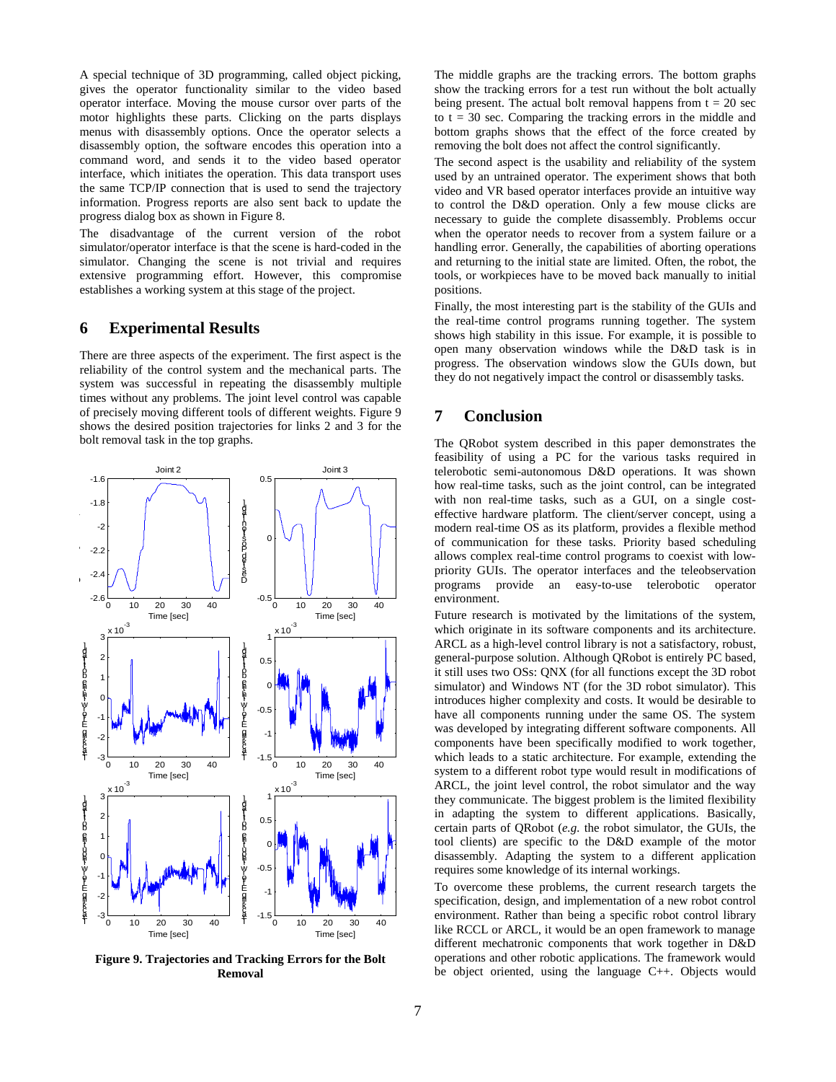A special technique of 3D programming, called object picking, gives the operator functionality similar to the video based operator interface. Moving the mouse cursor over parts of the motor highlights these parts. Clicking on the parts displays menus with disassembly options. Once the operator selects a disassembly option, the software encodes this operation into a command word, and sends it to the video based operator interface, which initiates the operation. This data transport uses the same TCP/IP connection that is used to send the trajectory information. Progress reports are also sent back to update the progress dialog box as shown in Figure 8.

The disadvantage of the current version of the robot simulator/operator interface is that the scene is hard-coded in the simulator. Changing the scene is not trivial and requires extensive programming effort. However, this compromise establishes a working system at this stage of the project.

### **6 Experimental Results**

There are three aspects of the experiment. The first aspect is the reliability of the control system and the mechanical parts. The system was successful in repeating the disassembly multiple times without any problems. The joint level control was capable of precisely moving different tools of different weights. Figure 9 shows the desired position trajectories for links 2 and 3 for the bolt removal task in the top graphs.



**Figure 9. Trajectories and Tracking Errors for the Bolt Removal** 

The middle graphs are the tracking errors. The bottom graphs show the tracking errors for a test run without the bolt actually being present. The actual bolt removal happens from  $t = 20$  sec to  $t = 30$  sec. Comparing the tracking errors in the middle and bottom graphs shows that the effect of the force created by removing the bolt does not affect the control significantly.

The second aspect is the usability and reliability of the system used by an untrained operator. The experiment shows that both video and VR based operator interfaces provide an intuitive way to control the D&D operation. Only a few mouse clicks are necessary to guide the complete disassembly. Problems occur when the operator needs to recover from a system failure or a handling error. Generally, the capabilities of aborting operations and returning to the initial state are limited. Often, the robot, the tools, or workpieces have to be moved back manually to initial positions.

Finally, the most interesting part is the stability of the GUIs and the real-time control programs running together. The system shows high stability in this issue. For example, it is possible to open many observation windows while the D&D task is in progress. The observation windows slow the GUIs down, but they do not negatively impact the control or disassembly tasks.

# **7 Conclusion**

The QRobot system described in this paper demonstrates the feasibility of using a PC for the various tasks required in telerobotic semi-autonomous D&D operations. It was shown how real-time tasks, such as the joint control, can be integrated with non real-time tasks, such as a GUI, on a single costeffective hardware platform. The client/server concept, using a modern real-time OS as its platform, provides a flexible method of communication for these tasks. Priority based scheduling allows complex real-time control programs to coexist with lowpriority GUIs. The operator interfaces and the teleobservation programs provide an easy-to-use telerobotic operator environment.

Future research is motivated by the limitations of the system, which originate in its software components and its architecture. ARCL as a high-level control library is not a satisfactory, robust, general-purpose solution. Although QRobot is entirely PC based, it still uses two OSs: QNX (for all functions except the 3D robot simulator) and Windows NT (for the 3D robot simulator). This introduces higher complexity and costs. It would be desirable to have all components running under the same OS. The system was developed by integrating different software components. All components have been specifically modified to work together, which leads to a static architecture. For example, extending the system to a different robot type would result in modifications of ARCL, the joint level control, the robot simulator and the way they communicate. The biggest problem is the limited flexibility in adapting the system to different applications. Basically, certain parts of QRobot (*e.g.* the robot simulator, the GUIs, the tool clients) are specific to the D&D example of the motor disassembly. Adapting the system to a different application requires some knowledge of its internal workings.

To overcome these problems, the current research targets the specification, design, and implementation of a new robot control environment. Rather than being a specific robot control library like RCCL or ARCL, it would be an open framework to manage different mechatronic components that work together in D&D operations and other robotic applications. The framework would be object oriented, using the language C++. Objects would